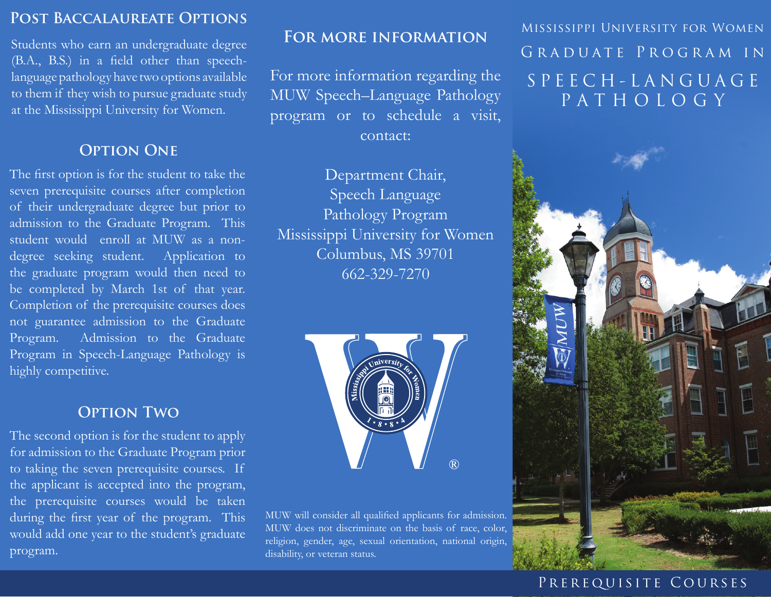#### **Post Baccalaureate Options**

Students who earn an undergraduate degree (B.A., B.S.) in a field other than speechlanguage pathology have two options available to them if they wish to pursue graduate study at the Mississippi University for Women.

### **OPTION ONE**

The first option is for the student to take the seven prerequisite courses after completion of their undergraduate degree but prior to admission to the Graduate Program. This student would enroll at MUW as a nondegree seeking student. Application to the graduate program would then need to be completed by March 1st of that year. Completion of the prerequisite courses does not guarantee admission to the Graduate Program. Admission to the Graduate Program in Speech-Language Pathology is highly competitive.

#### **Option Two**

The second option is for the student to apply for admission to the Graduate Program prior to taking the seven prerequisite courses. If the applicant is accepted into the program, the prerequisite courses would be taken during the first year of the program. This would add one year to the student's graduate program.

#### **For more information**

For more information regarding the MUW Speech–Language Pathology program or to schedule a visit, contact:

Department Chair, Speech Language Pathology Program Mississippi University for Women Columbus, MS 39701 662-329-7270



MUW will consider all qualified applicants for admission. MUW does not discriminate on the basis of race, color, religion, gender, age, sexual orientation, national origin, disability, or veteran status.

Mississippi University for Women Graduate Program in S P E E C H - L A N G U A G E PATHOLOGY



#### PREREQUISITE COURSES